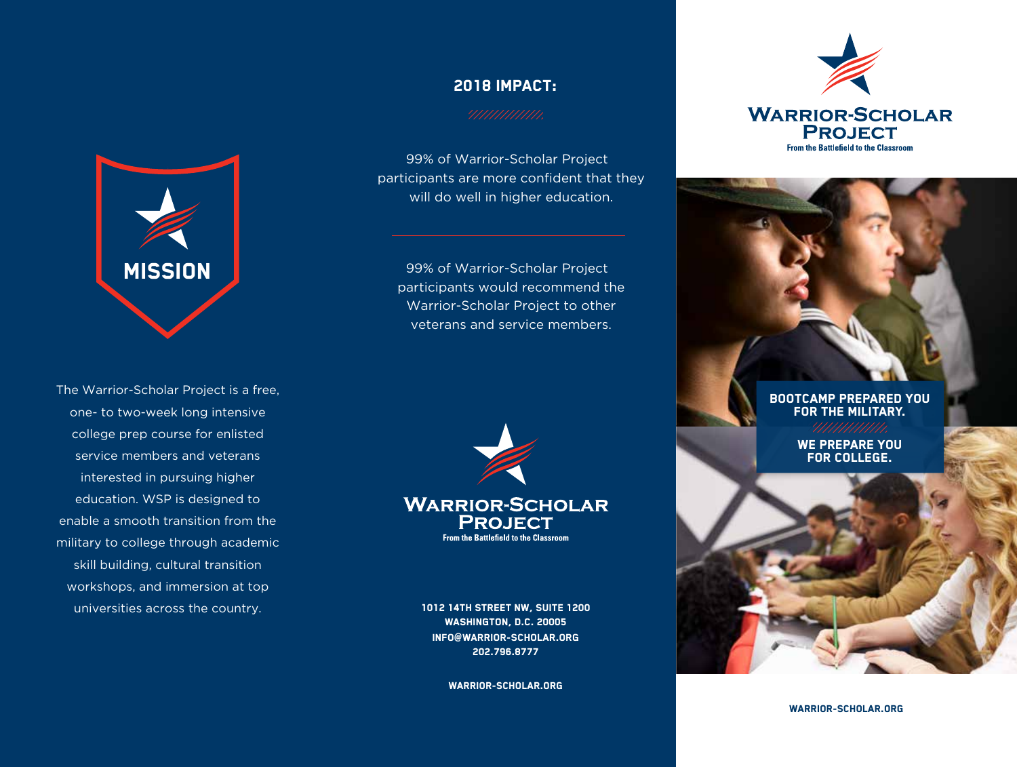

The Warrior-Scholar Project is a free, one- to two-week long intensive college prep course for enlisted service members and veterans interested in pursuing higher education. WSP is designed to enable a smooth transition from the military to college through academic skill building, cultural transition workshops, and immersion at top universities across the country.

## 2018 IMPACT:

99% of Warrior-Scholar Project participants are more confident that they will do well in higher education.

99% of Warrior-Scholar Project participants would recommend the Warrior-Scholar Project to other veterans and service members.



**PROJECT** From the Battlefield to the Classroom

1012 14TH STREET NW, SUITE 1200 WASHINGTON, D.C. 20005 INFO@WARRIOR-SCHOLAR.ORG 202.796.8777

warrior-scholar.org



### Bootcamp prepared you FOR THE MILITARY.

We prepare you for college.

warrior-scholar.org